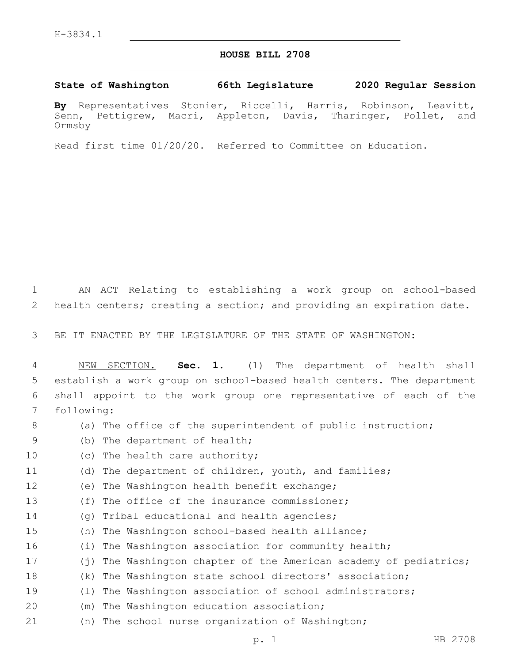## **HOUSE BILL 2708**

## **State of Washington 66th Legislature 2020 Regular Session**

**By** Representatives Stonier, Riccelli, Harris, Robinson, Leavitt, Senn, Pettigrew, Macri, Appleton, Davis, Tharinger, Pollet, and Ormsby

Read first time 01/20/20. Referred to Committee on Education.

1 AN ACT Relating to establishing a work group on school-based 2 health centers; creating a section; and providing an expiration date.

3 BE IT ENACTED BY THE LEGISLATURE OF THE STATE OF WASHINGTON:

 NEW SECTION. **Sec. 1.** (1) The department of health shall establish a work group on school-based health centers. The department shall appoint to the work group one representative of each of the following:

- 8 (a) The office of the superintendent of public instruction;
- 9 (b) The department of health;
- 10 (c) The health care authority;
- 11 (d) The department of children, youth, and families;
- 12 (e) The Washington health benefit exchange;
- 13 (f) The office of the insurance commissioner;
- 14 (g) Tribal educational and health agencies;
- 15 (h) The Washington school-based health alliance;
- 16 (i) The Washington association for community health;
- 17 (j) The Washington chapter of the American academy of pediatrics;
- 18 (k) The Washington state school directors' association;
- 19 (l) The Washington association of school administrators;
- 20 (m) The Washington education association;
- 21 (n) The school nurse organization of Washington;